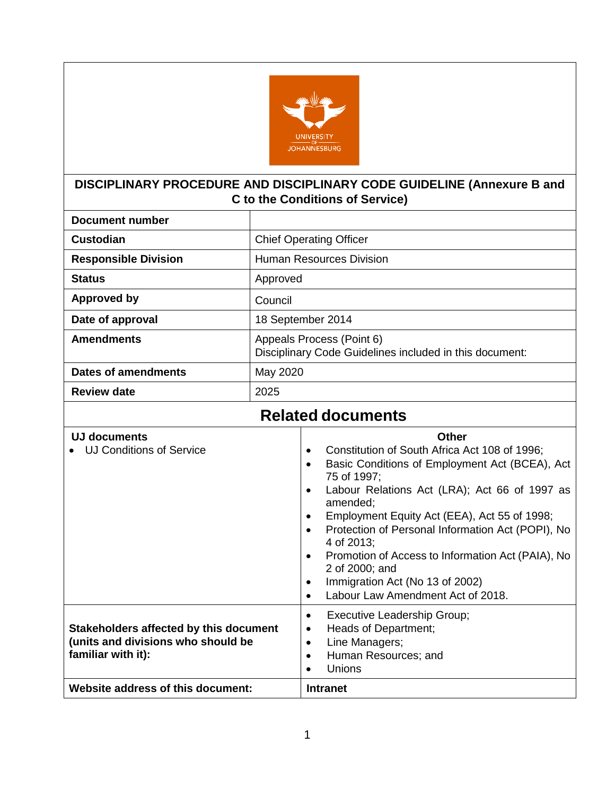

# **DISCIPLINARY PROCEDURE AND DISCIPLINARY CODE GUIDELINE (Annexure B and C to the Conditions of Service)**

| <b>Document number</b>                          |                                                                                                                                                                                                                                                                                                                                                                                                                                                                                                                                                                |  |  |  |  |
|-------------------------------------------------|----------------------------------------------------------------------------------------------------------------------------------------------------------------------------------------------------------------------------------------------------------------------------------------------------------------------------------------------------------------------------------------------------------------------------------------------------------------------------------------------------------------------------------------------------------------|--|--|--|--|
| <b>Custodian</b>                                | <b>Chief Operating Officer</b>                                                                                                                                                                                                                                                                                                                                                                                                                                                                                                                                 |  |  |  |  |
| <b>Responsible Division</b>                     | <b>Human Resources Division</b>                                                                                                                                                                                                                                                                                                                                                                                                                                                                                                                                |  |  |  |  |
| <b>Status</b>                                   | Approved                                                                                                                                                                                                                                                                                                                                                                                                                                                                                                                                                       |  |  |  |  |
| <b>Approved by</b>                              | Council                                                                                                                                                                                                                                                                                                                                                                                                                                                                                                                                                        |  |  |  |  |
| Date of approval                                | 18 September 2014                                                                                                                                                                                                                                                                                                                                                                                                                                                                                                                                              |  |  |  |  |
| <b>Amendments</b>                               | Appeals Process (Point 6)<br>Disciplinary Code Guidelines included in this document:                                                                                                                                                                                                                                                                                                                                                                                                                                                                           |  |  |  |  |
| <b>Dates of amendments</b>                      | May 2020                                                                                                                                                                                                                                                                                                                                                                                                                                                                                                                                                       |  |  |  |  |
| <b>Review date</b>                              | 2025                                                                                                                                                                                                                                                                                                                                                                                                                                                                                                                                                           |  |  |  |  |
|                                                 | <b>Related documents</b>                                                                                                                                                                                                                                                                                                                                                                                                                                                                                                                                       |  |  |  |  |
| UJ documents<br><b>UJ Conditions of Service</b> | Other<br>Constitution of South Africa Act 108 of 1996;<br>$\bullet$<br>Basic Conditions of Employment Act (BCEA), Act<br>$\bullet$<br>75 of 1997;<br>Labour Relations Act (LRA); Act 66 of 1997 as<br>$\bullet$<br>amended;<br>Employment Equity Act (EEA), Act 55 of 1998;<br>$\bullet$<br>Protection of Personal Information Act (POPI), No<br>$\bullet$<br>4 of 2013;<br>Promotion of Access to Information Act (PAIA), No<br>$\bullet$<br>2 of 2000; and<br>Immigration Act (No 13 of 2002)<br>$\bullet$<br>Labour Law Amendment Act of 2018.<br>$\bullet$ |  |  |  |  |

| Website address of this document:                                                                  | <b>Intranet</b>                                                                                                |
|----------------------------------------------------------------------------------------------------|----------------------------------------------------------------------------------------------------------------|
| Stakeholders affected by this document<br>(units and divisions who should be<br>familiar with it): | <b>Executive Leadership Group;</b><br>Heads of Department;<br>Line Managers;<br>Human Resources; and<br>Unions |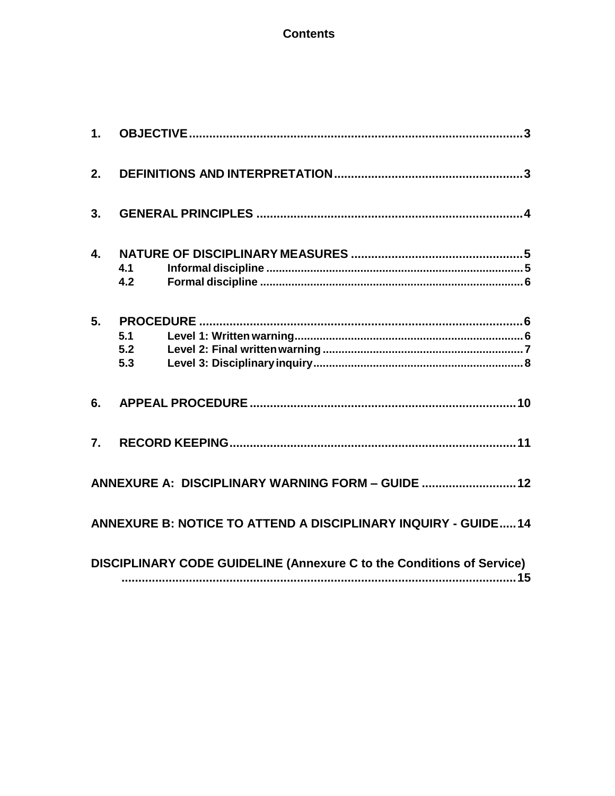### **Contents**

| 2.             |                   |                                                                       |
|----------------|-------------------|-----------------------------------------------------------------------|
| 3.             |                   |                                                                       |
| $\mathbf{4}$ . | 4.1<br>4.2        |                                                                       |
| 5.             | 5.1<br>5.2<br>5.3 |                                                                       |
| 6.             |                   |                                                                       |
| 7 <sub>1</sub> |                   |                                                                       |
|                |                   | ANNEXURE A: DISCIPLINARY WARNING FORM - GUIDE  12                     |
|                |                   | ANNEXURE B: NOTICE TO ATTEND A DISCIPLINARY INQUIRY - GUIDE14         |
|                |                   | DISCIPLINARY CODE GUIDELINE (Annexure C to the Conditions of Service) |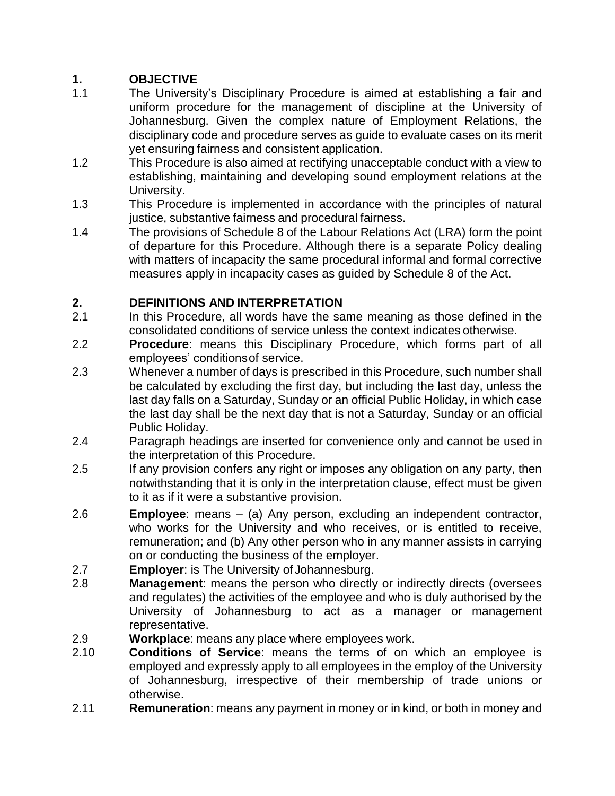# <span id="page-2-0"></span>**1. OBJECTIVE**

- 1.1 The University's Disciplinary Procedure is aimed at establishing a fair and uniform procedure for the management of discipline at the University of Johannesburg. Given the complex nature of Employment Relations, the disciplinary code and procedure serves as guide to evaluate cases on its merit yet ensuring fairness and consistent application.
- 1.2 This Procedure is also aimed at rectifying unacceptable conduct with a view to establishing, maintaining and developing sound employment relations at the University.
- 1.3 This Procedure is implemented in accordance with the principles of natural justice, substantive fairness and procedural fairness.
- 1.4 The provisions of Schedule 8 of the Labour Relations Act (LRA) form the point of departure for this Procedure. Although there is a separate Policy dealing with matters of incapacity the same procedural informal and formal corrective measures apply in incapacity cases as guided by Schedule 8 of the Act.

### <span id="page-2-1"></span>**2. DEFINITIONS AND INTERPRETATION**

- 2.1 In this Procedure, all words have the same meaning as those defined in the consolidated conditions of service unless the context indicates otherwise.
- 2.2 **Procedure**: means this Disciplinary Procedure, which forms part of all employees' conditionsof service.
- 2.3 Whenever a number of days is prescribed in this Procedure, such number shall be calculated by excluding the first day, but including the last day, unless the last day falls on a Saturday, Sunday or an official Public Holiday, in which case the last day shall be the next day that is not a Saturday, Sunday or an official Public Holiday.
- 2.4 Paragraph headings are inserted for convenience only and cannot be used in the interpretation of this Procedure.
- 2.5 If any provision confers any right or imposes any obligation on any party, then notwithstanding that it is only in the interpretation clause, effect must be given to it as if it were a substantive provision.
- 2.6 **Employee**: means (a) Any person, excluding an independent contractor, who works for the University and who receives, or is entitled to receive, remuneration; and (b) Any other person who in any manner assists in carrying on or conducting the business of the employer.
- 2.7 **Employer:** is The University of Johannesburg.
- 2.8 **Management**: means the person who directly or indirectly directs (oversees and regulates) the activities of the employee and who is duly authorised by the University of Johannesburg to act as a manager or management representative.
- 2.9 **Workplace**: means any place where employees work.
- 2.10 **Conditions of Service**: means the terms of on which an employee is employed and expressly apply to all employees in the employ of the University of Johannesburg, irrespective of their membership of trade unions or otherwise.
- 2.11 **Remuneration**: means any payment in money or in kind, or both in money and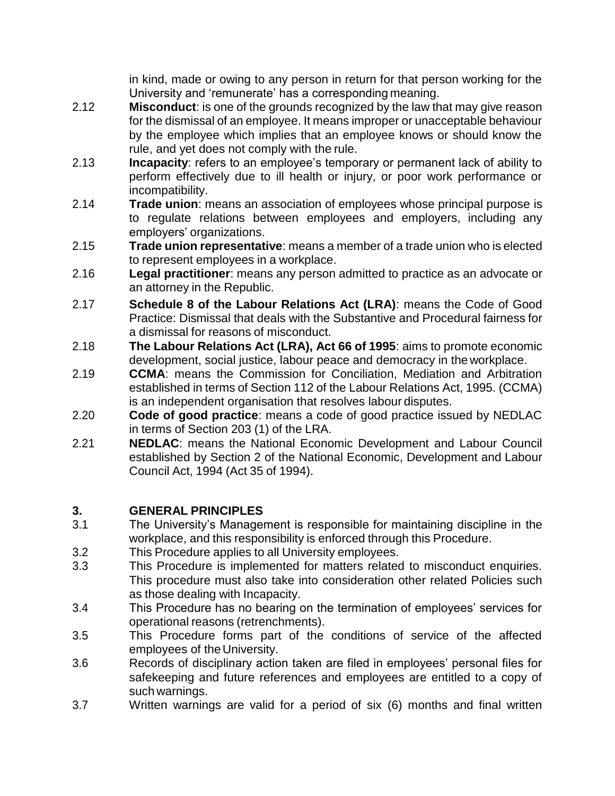in kind, made or owing to any person in return for that person working for the University and 'remunerate' has a corresponding meaning.

- 2.12 **Misconduct**: is one of the grounds recognized by the law that may give reason for the dismissal of an employee. It means improper or unacceptable behaviour by the employee which implies that an employee knows or should know the rule, and yet does not comply with the rule.
- 2.13 **Incapacity**: refers to an employee's temporary or permanent lack of ability to perform effectively due to ill health or injury, or poor work performance or incompatibility.
- 2.14 **Trade union**: means an association of employees whose principal purpose is to regulate relations between employees and employers, including any employers' organizations.
- 2.15 **Trade union representative**: means a member of a trade union who is elected to represent employees in a workplace.
- 2.16 **Legal practitioner**: means any person admitted to practice as an advocate or an attorney in the Republic.
- 2.17 **Schedule 8 of the Labour Relations Act (LRA)**: means the Code of Good Practice: Dismissal that deals with the Substantive and Procedural fairness for a dismissal for reasons of misconduct.
- 2.18 **The Labour Relations Act (LRA), Act 66 of 1995**: aims to promote economic development, social justice, labour peace and democracy in the workplace.
- 2.19 **CCMA**: means the Commission for Conciliation, Mediation and Arbitration established in terms of Section 112 of the Labour Relations Act, 1995. (CCMA) is an independent organisation that resolves labour disputes.
- 2.20 **Code of good practice**: means a code of good practice issued by NEDLAC in terms of Section 203 (1) of the LRA.
- 2.21 **NEDLAC**: means the National Economic Development and Labour Council established by Section 2 of the National Economic, Development and Labour Council Act, 1994 (Act 35 of 1994).

### <span id="page-3-0"></span>**3. GENERAL PRINCIPLES**

- 3.1 The University's Management is responsible for maintaining discipline in the workplace, and this responsibility is enforced through this Procedure.
- 3.2 This Procedure applies to all University employees.
- 3.3 This Procedure is implemented for matters related to misconduct enquiries. This procedure must also take into consideration other related Policies such as those dealing with Incapacity.
- 3.4 This Procedure has no bearing on the termination of employees' services for operational reasons (retrenchments).
- 3.5 This Procedure forms part of the conditions of service of the affected employees of the University.
- 3.6 Records of disciplinary action taken are filed in employees' personal files for safekeeping and future references and employees are entitled to a copy of such warnings.
- 3.7 Written warnings are valid for a period of six (6) months and final written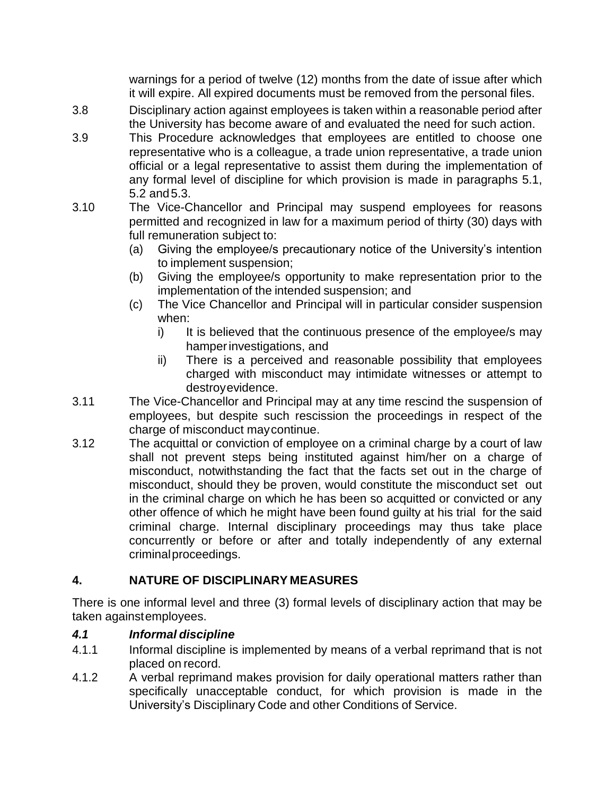warnings for a period of twelve (12) months from the date of issue after which it will expire. All expired documents must be removed from the personal files.

- 3.8 Disciplinary action against employees is taken within a reasonable period after the University has become aware of and evaluated the need for such action.
- 3.9 This Procedure acknowledges that employees are entitled to choose one representative who is a colleague, a trade union representative, a trade union official or a legal representative to assist them during the implementation of any formal level of discipline for which provision is made in paragraphs 5.1, 5.2 and5.3.
- 3.10 The Vice-Chancellor and Principal may suspend employees for reasons permitted and recognized in law for a maximum period of thirty (30) days with full remuneration subject to:
	- (a) Giving the employee/s precautionary notice of the University's intention to implement suspension;
	- (b) Giving the employee/s opportunity to make representation prior to the implementation of the intended suspension; and
	- (c) The Vice Chancellor and Principal will in particular consider suspension when:
		- i) It is believed that the continuous presence of the employee/s may hamperinvestigations, and
		- ii) There is a perceived and reasonable possibility that employees charged with misconduct may intimidate witnesses or attempt to destroyevidence.
- 3.11 The Vice-Chancellor and Principal may at any time rescind the suspension of employees, but despite such rescission the proceedings in respect of the charge of misconduct maycontinue.
- 3.12 The acquittal or conviction of employee on a criminal charge by a court of law shall not prevent steps being instituted against him/her on a charge of misconduct, notwithstanding the fact that the facts set out in the charge of misconduct, should they be proven, would constitute the misconduct set out in the criminal charge on which he has been so acquitted or convicted or any other offence of which he might have been found guilty at his trial for the said criminal charge. Internal disciplinary proceedings may thus take place concurrently or before or after and totally independently of any external criminalproceedings.

# <span id="page-4-0"></span>**4. NATURE OF DISCIPLINARY MEASURES**

There is one informal level and three (3) formal levels of disciplinary action that may be taken againstemployees.

# <span id="page-4-1"></span>*4.1 Informal discipline*

- 4.1.1 Informal discipline is implemented by means of a verbal reprimand that is not placed on record.
- 4.1.2 A verbal reprimand makes provision for daily operational matters rather than specifically unacceptable conduct, for which provision is made in the University's Disciplinary Code and other Conditions of Service.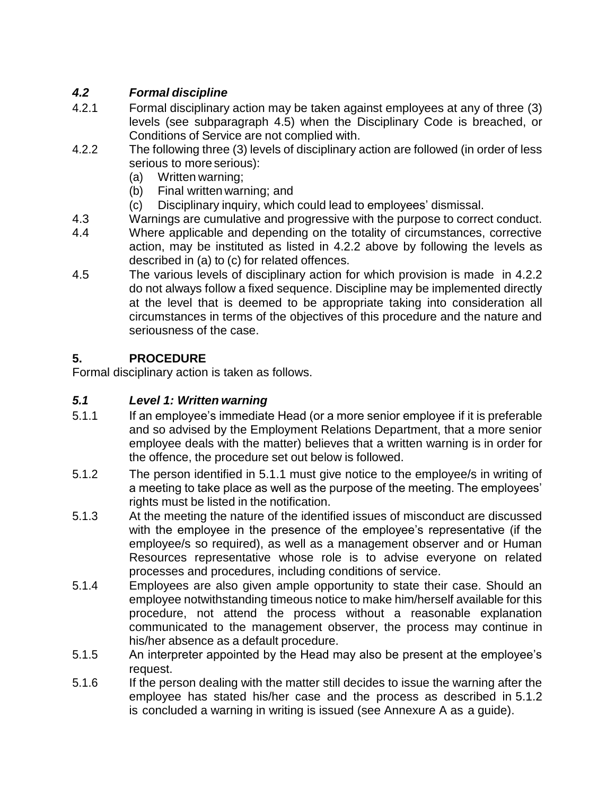# <span id="page-5-0"></span>*4.2 Formal discipline*

- 4.2.1 Formal disciplinary action may be taken against employees at any of three (3) levels (see subparagraph 4.5) when the Disciplinary Code is breached, or Conditions of Service are not complied with.
- 4.2.2 The following three (3) levels of disciplinary action are followed (in order of less serious to more serious):
	- (a) Written warning;
	- (b) Final written warning; and
	- (c) Disciplinary inquiry, which could lead to employees' dismissal.
- 4.3 Warnings are cumulative and progressive with the purpose to correct conduct.
- 4.4 Where applicable and depending on the totality of circumstances, corrective action, may be instituted as listed in 4.2.2 above by following the levels as described in (a) to (c) for related offences.
- 4.5 The various levels of disciplinary action for which provision is made in 4.2.2 do not always follow a fixed sequence. Discipline may be implemented directly at the level that is deemed to be appropriate taking into consideration all circumstances in terms of the objectives of this procedure and the nature and seriousness of the case.

# <span id="page-5-1"></span>**5. PROCEDURE**

Formal disciplinary action is taken as follows.

# <span id="page-5-2"></span>*5.1 Level 1: Written warning*

- 5.1.1 If an employee's immediate Head (or a more senior employee if it is preferable and so advised by the Employment Relations Department, that a more senior employee deals with the matter) believes that a written warning is in order for the offence, the procedure set out below is followed.
- 5.1.2 The person identified in 5.1.1 must give notice to the employee/s in writing of a meeting to take place as well as the purpose of the meeting. The employees' rights must be listed in the notification.
- 5.1.3 At the meeting the nature of the identified issues of misconduct are discussed with the employee in the presence of the employee's representative (if the employee/s so required), as well as a management observer and or Human Resources representative whose role is to advise everyone on related processes and procedures, including conditions of service.
- 5.1.4 Employees are also given ample opportunity to state their case. Should an employee notwithstanding timeous notice to make him/herself available for this procedure, not attend the process without a reasonable explanation communicated to the management observer, the process may continue in his/her absence as a default procedure.
- 5.1.5 An interpreter appointed by the Head may also be present at the employee's request.
- 5.1.6 If the person dealing with the matter still decides to issue the warning after the employee has stated his/her case and the process as described in 5.1.2 is concluded a warning in writing is issued (see Annexure A as a guide).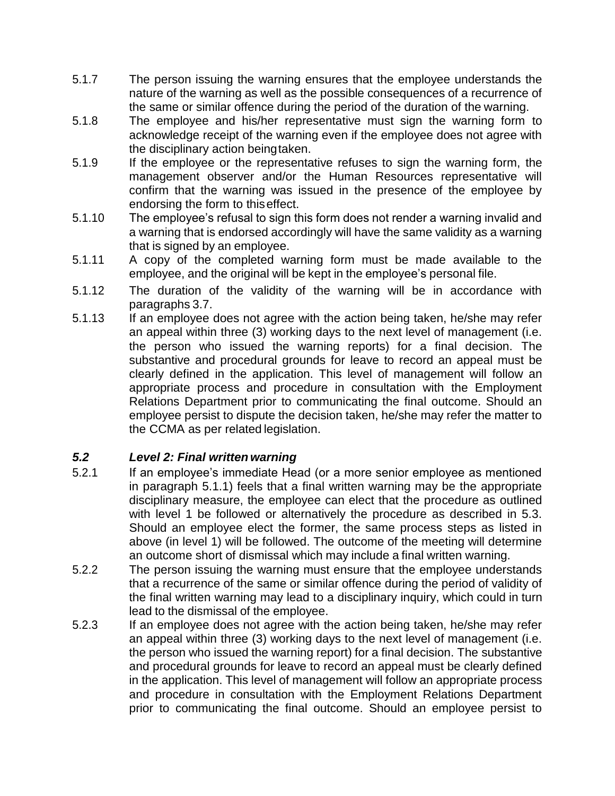- 5.1.7 The person issuing the warning ensures that the employee understands the nature of the warning as well as the possible consequences of a recurrence of the same or similar offence during the period of the duration of the warning.
- 5.1.8 The employee and his/her representative must sign the warning form to acknowledge receipt of the warning even if the employee does not agree with the disciplinary action beingtaken.
- 5.1.9 If the employee or the representative refuses to sign the warning form, the management observer and/or the Human Resources representative will confirm that the warning was issued in the presence of the employee by endorsing the form to thiseffect.
- 5.1.10 The employee's refusal to sign this form does not render a warning invalid and a warning that is endorsed accordingly will have the same validity as a warning that is signed by an employee.
- 5.1.11 A copy of the completed warning form must be made available to the employee, and the original will be kept in the employee's personal file.
- 5.1.12 The duration of the validity of the warning will be in accordance with paragraphs 3.7.
- 5.1.13 If an employee does not agree with the action being taken, he/she may refer an appeal within three (3) working days to the next level of management (i.e. the person who issued the warning reports) for a final decision. The substantive and procedural grounds for leave to record an appeal must be clearly defined in the application. This level of management will follow an appropriate process and procedure in consultation with the Employment Relations Department prior to communicating the final outcome. Should an employee persist to dispute the decision taken, he/she may refer the matter to the CCMA as per related legislation.

### <span id="page-6-0"></span>*5.2 Level 2: Final written warning*

- 5.2.1 If an employee's immediate Head (or a more senior employee as mentioned in paragraph 5.1.1) feels that a final written warning may be the appropriate disciplinary measure, the employee can elect that the procedure as outlined with level 1 be followed or alternatively the procedure as described in 5.3. Should an employee elect the former, the same process steps as listed in above (in level 1) will be followed. The outcome of the meeting will determine an outcome short of dismissal which may include a final written warning.
- 5.2.2 The person issuing the warning must ensure that the employee understands that a recurrence of the same or similar offence during the period of validity of the final written warning may lead to a disciplinary inquiry, which could in turn lead to the dismissal of the employee.
- 5.2.3 If an employee does not agree with the action being taken, he/she may refer an appeal within three (3) working days to the next level of management (i.e. the person who issued the warning report) for a final decision. The substantive and procedural grounds for leave to record an appeal must be clearly defined in the application. This level of management will follow an appropriate process and procedure in consultation with the Employment Relations Department prior to communicating the final outcome. Should an employee persist to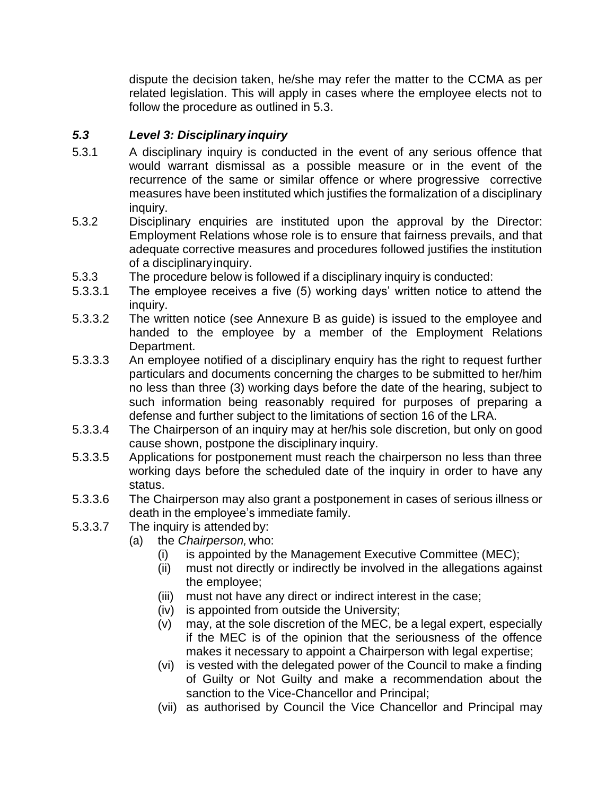dispute the decision taken, he/she may refer the matter to the CCMA as per related legislation. This will apply in cases where the employee elects not to follow the procedure as outlined in 5.3.

### <span id="page-7-0"></span>*5.3 Level 3: Disciplinary inquiry*

- 5.3.1 A disciplinary inquiry is conducted in the event of any serious offence that would warrant dismissal as a possible measure or in the event of the recurrence of the same or similar offence or where progressive corrective measures have been instituted which justifies the formalization of a disciplinary inquiry.
- 5.3.2 Disciplinary enquiries are instituted upon the approval by the Director: Employment Relations whose role is to ensure that fairness prevails, and that adequate corrective measures and procedures followed justifies the institution of a disciplinaryinquiry.
- 5.3.3 The procedure below is followed if a disciplinary inquiry is conducted:
- 5.3.3.1 The employee receives a five (5) working days' written notice to attend the inquiry.
- 5.3.3.2 The written notice (see Annexure B as guide) is issued to the employee and handed to the employee by a member of the Employment Relations Department.
- 5.3.3.3 An employee notified of a disciplinary enquiry has the right to request further particulars and documents concerning the charges to be submitted to her/him no less than three (3) working days before the date of the hearing, subject to such information being reasonably required for purposes of preparing a defense and further subject to the limitations of section 16 of the LRA.
- 5.3.3.4 The Chairperson of an inquiry may at her/his sole discretion, but only on good cause shown, postpone the disciplinary inquiry.
- 5.3.3.5 Applications for postponement must reach the chairperson no less than three working days before the scheduled date of the inquiry in order to have any status.
- 5.3.3.6 The Chairperson may also grant a postponement in cases of serious illness or death in the employee's immediate family.
- 5.3.3.7 The inquiry is attended by:
	- (a) the *Chairperson,* who:
		- (i) is appointed by the Management Executive Committee (MEC);
		- (ii) must not directly or indirectly be involved in the allegations against the employee;
		- (iii) must not have any direct or indirect interest in the case;
		- (iv) is appointed from outside the University;
		- (v) may, at the sole discretion of the MEC, be a legal expert, especially if the MEC is of the opinion that the seriousness of the offence makes it necessary to appoint a Chairperson with legal expertise;
		- (vi) is vested with the delegated power of the Council to make a finding of Guilty or Not Guilty and make a recommendation about the sanction to the Vice-Chancellor and Principal;
		- (vii) as authorised by Council the Vice Chancellor and Principal may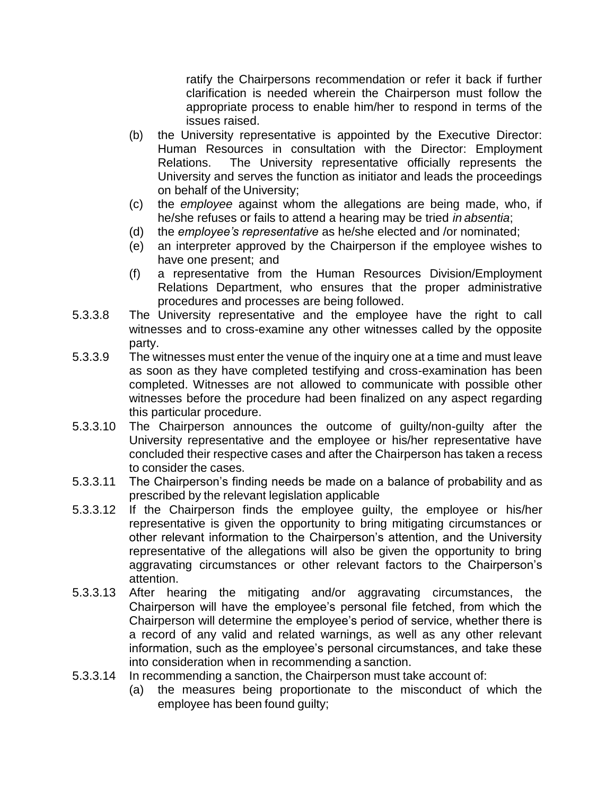ratify the Chairpersons recommendation or refer it back if further clarification is needed wherein the Chairperson must follow the appropriate process to enable him/her to respond in terms of the issues raised.

- (b) the University representative is appointed by the Executive Director: Human Resources in consultation with the Director: Employment Relations. The University representative officially represents the University and serves the function as initiator and leads the proceedings on behalf of the University;
- (c) the *employee* against whom the allegations are being made, who, if he/she refuses or fails to attend a hearing may be tried *in absentia*;
- (d) the *employee's representative* as he/she elected and /or nominated;
- (e) an interpreter approved by the Chairperson if the employee wishes to have one present; and
- (f) a representative from the Human Resources Division/Employment Relations Department, who ensures that the proper administrative procedures and processes are being followed.
- 5.3.3.8 The University representative and the employee have the right to call witnesses and to cross-examine any other witnesses called by the opposite party.
- 5.3.3.9 The witnesses must enter the venue of the inquiry one at a time and must leave as soon as they have completed testifying and cross-examination has been completed. Witnesses are not allowed to communicate with possible other witnesses before the procedure had been finalized on any aspect regarding this particular procedure.
- 5.3.3.10 The Chairperson announces the outcome of guilty/non-guilty after the University representative and the employee or his/her representative have concluded their respective cases and after the Chairperson has taken a recess to consider the cases.
- 5.3.3.11 The Chairperson's finding needs be made on a balance of probability and as prescribed by the relevant legislation applicable
- 5.3.3.12 If the Chairperson finds the employee guilty, the employee or his/her representative is given the opportunity to bring mitigating circumstances or other relevant information to the Chairperson's attention, and the University representative of the allegations will also be given the opportunity to bring aggravating circumstances or other relevant factors to the Chairperson's attention.
- 5.3.3.13 After hearing the mitigating and/or aggravating circumstances, the Chairperson will have the employee's personal file fetched, from which the Chairperson will determine the employee's period of service, whether there is a record of any valid and related warnings, as well as any other relevant information, such as the employee's personal circumstances, and take these into consideration when in recommending a sanction.
- 5.3.3.14 In recommending a sanction, the Chairperson must take account of:
	- (a) the measures being proportionate to the misconduct of which the employee has been found guilty;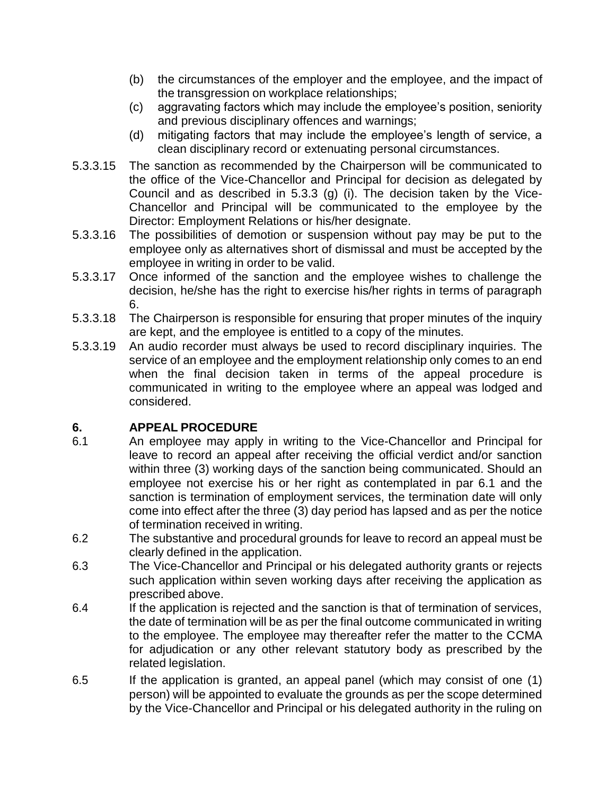- (b) the circumstances of the employer and the employee, and the impact of the transgression on workplace relationships;
- (c) aggravating factors which may include the employee's position, seniority and previous disciplinary offences and warnings;
- (d) mitigating factors that may include the employee's length of service, a clean disciplinary record or extenuating personal circumstances.
- 5.3.3.15 The sanction as recommended by the Chairperson will be communicated to the office of the Vice-Chancellor and Principal for decision as delegated by Council and as described in 5.3.3 (g) (i). The decision taken by the Vice-Chancellor and Principal will be communicated to the employee by the Director: Employment Relations or his/her designate.
- 5.3.3.16 The possibilities of demotion or suspension without pay may be put to the employee only as alternatives short of dismissal and must be accepted by the employee in writing in order to be valid.
- 5.3.3.17 Once informed of the sanction and the employee wishes to challenge the decision, he/she has the right to exercise his/her rights in terms of paragraph 6.
- 5.3.3.18 The Chairperson is responsible for ensuring that proper minutes of the inquiry are kept, and the employee is entitled to a copy of the minutes.
- 5.3.3.19 An audio recorder must always be used to record disciplinary inquiries. The service of an employee and the employment relationship only comes to an end when the final decision taken in terms of the appeal procedure is communicated in writing to the employee where an appeal was lodged and considered.

# <span id="page-9-0"></span>**6. APPEAL PROCEDURE**

- 6.1 An employee may apply in writing to the Vice-Chancellor and Principal for leave to record an appeal after receiving the official verdict and/or sanction within three (3) working days of the sanction being communicated. Should an employee not exercise his or her right as contemplated in par 6.1 and the sanction is termination of employment services, the termination date will only come into effect after the three (3) day period has lapsed and as per the notice of termination received in writing.
- 6.2 The substantive and procedural grounds for leave to record an appeal must be clearly defined in the application.
- 6.3 The Vice-Chancellor and Principal or his delegated authority grants or rejects such application within seven working days after receiving the application as prescribed above.
- 6.4 If the application is rejected and the sanction is that of termination of services, the date of termination will be as per the final outcome communicated in writing to the employee. The employee may thereafter refer the matter to the CCMA for adjudication or any other relevant statutory body as prescribed by the related legislation.
- 6.5 If the application is granted, an appeal panel (which may consist of one (1) person) will be appointed to evaluate the grounds as per the scope determined by the Vice-Chancellor and Principal or his delegated authority in the ruling on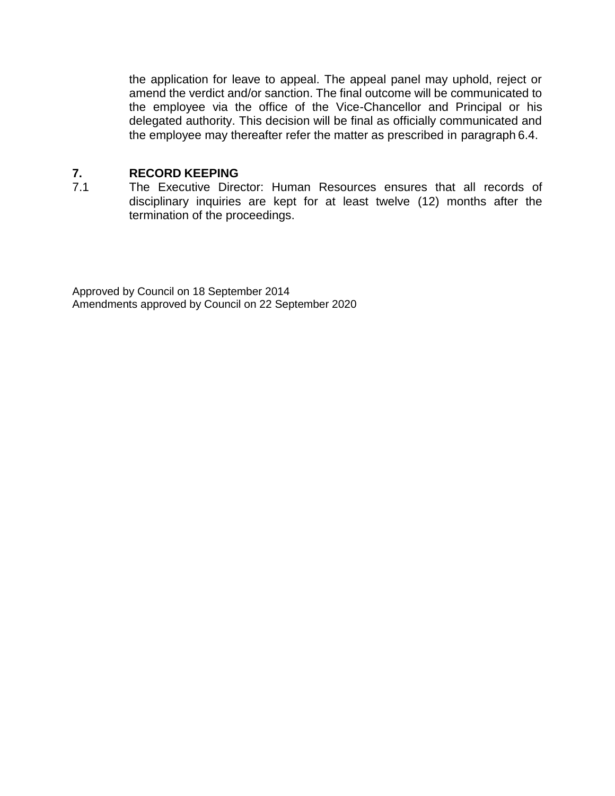the application for leave to appeal. The appeal panel may uphold, reject or amend the verdict and/or sanction. The final outcome will be communicated to the employee via the office of the Vice-Chancellor and Principal or his delegated authority. This decision will be final as officially communicated and the employee may thereafter refer the matter as prescribed in paragraph 6.4.

#### <span id="page-10-0"></span>**7. RECORD KEEPING**

7.1 The Executive Director: Human Resources ensures that all records of disciplinary inquiries are kept for at least twelve (12) months after the termination of the proceedings.

Approved by Council on 18 September 2014 Amendments approved by Council on 22 September 2020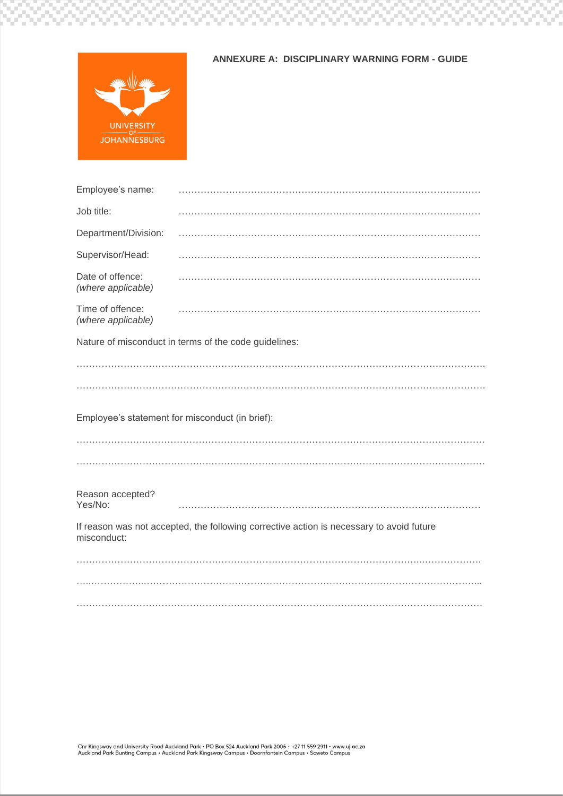

93

52

 $\sim$ 

w

 $\sim$ 

N.

 $\mathcal{U}$ 

'nл

 $\sim$ 

89

92

 $\overline{\mathcal{M}}$ 

ð.

N.

 $\overline{\mathcal{M}}$ 

82

 $\,$  m  $\,$ 

 $\sim$ 

59

W

w

Ņ.

99

 $\overline{\phantom{a}}$ 

W

N

 $\overline{\phantom{a}}$ 

Ņ.

99

 $\overline{\mathbf{m}}$ 

#### **ANNEXURE A: DISCIPLINARY WARNING FORM - GUIDE**

W

88

ζW.

932

W

92

on.

39

92

 $\bar{m}$ 

92

 $\sim$ 

N.

 $\overline{\mathcal{M}}$ 

Ŋ.

92

 $\mathcal{U}$ 

W

w

w

 $\sim$ 

82

 $\sim$ 

| Nature of misconduct in terms of the code guidelines:                                    |
|------------------------------------------------------------------------------------------|
|                                                                                          |
|                                                                                          |
| Employee's statement for misconduct (in brief):                                          |
|                                                                                          |
|                                                                                          |
|                                                                                          |
| If reason was not accepted, the following corrective action is necessary to avoid future |
|                                                                                          |
|                                                                                          |
|                                                                                          |
|                                                                                          |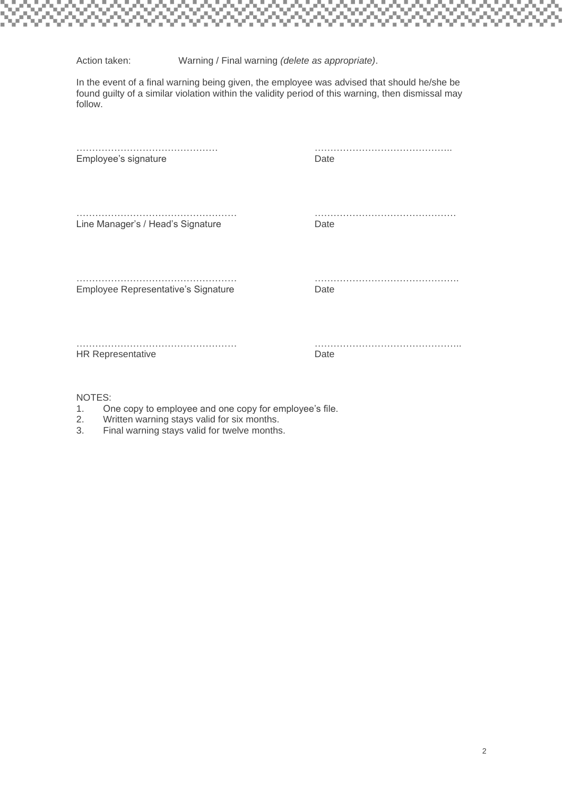Action taken: Warning / Final warning *(delete as appropriate)*.

In the event of a final warning being given, the employee was advised that should he/she be found guilty of a similar violation within the validity period of this warning, then dismissal may follow.

| Employee's signature                | Date |
|-------------------------------------|------|
| Line Manager's / Head's Signature   | Date |
| Employee Representative's Signature | Date |
| <b>HR Representative</b>            | Date |
| NIOTEC.                             |      |

NOTES:

- 1. One copy to employee and one copy for employee's file.
- 2. Written warning stays valid for six months.<br>3. Final warning stays valid for twelve months
- Final warning stays valid for twelve months.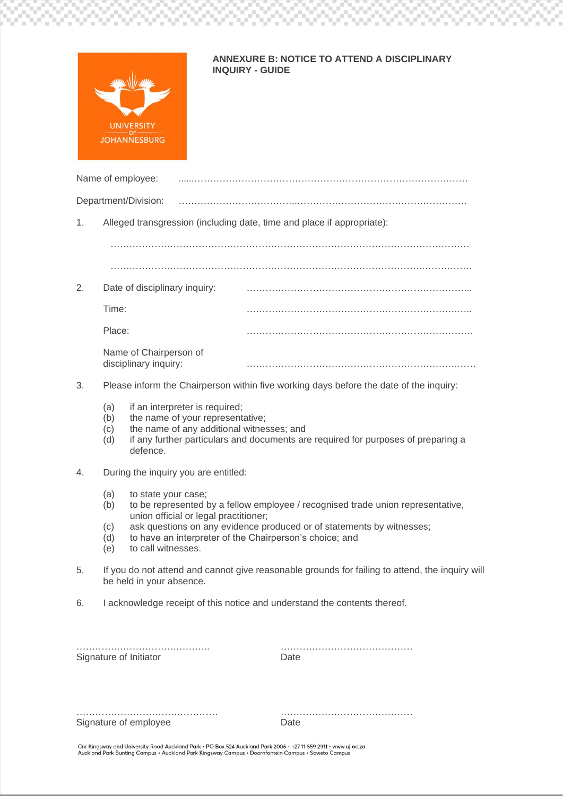

 $\sim$ 

 $\overline{\phantom{a}}$ 

 $\sim$ 

 $\overline{\rm m}$ 

 $\sim$ 

 $\sim$ 

#### **ANNEXURE B: NOTICE TO ATTEND A DISCIPLINARY INQUIRY - GUIDE**

82

 $\sim$ 

 $\mathbb{R}^3$ 

50

X)

 $\bar{m}$ 

N.

 $\sim$ 

÷

 $\overline{1}$ 

 $\sim$ 

 $\sim$ 

 $\sim$ 

W

 $\sim$ 

N)

 $\overline{\mathcal{M}}$ 

N.

 $\sim$ 

N.

 $\sim$ 

N.

 $\overline{\mathcal{M}}$ 

w

بريا

**Contract** 

 $\sim$ 

|    |                                                                        | Name of employee:                                                                                                                             |  |                                                                                                                                                          |  |  |
|----|------------------------------------------------------------------------|-----------------------------------------------------------------------------------------------------------------------------------------------|--|----------------------------------------------------------------------------------------------------------------------------------------------------------|--|--|
|    |                                                                        | Department/Division:                                                                                                                          |  |                                                                                                                                                          |  |  |
| 1. | Alleged transgression (including date, time and place if appropriate): |                                                                                                                                               |  |                                                                                                                                                          |  |  |
|    |                                                                        |                                                                                                                                               |  |                                                                                                                                                          |  |  |
|    |                                                                        |                                                                                                                                               |  |                                                                                                                                                          |  |  |
| 2. |                                                                        | Date of disciplinary inquiry:                                                                                                                 |  |                                                                                                                                                          |  |  |
|    | Time:                                                                  |                                                                                                                                               |  |                                                                                                                                                          |  |  |
|    | Place:                                                                 |                                                                                                                                               |  |                                                                                                                                                          |  |  |
|    |                                                                        | Name of Chairperson of<br>disciplinary inquiry:                                                                                               |  |                                                                                                                                                          |  |  |
| 3. |                                                                        |                                                                                                                                               |  | Please inform the Chairperson within five working days before the date of the inquiry:                                                                   |  |  |
|    | (a)<br>(b)<br>(c)<br>(d)                                               | if an interpreter is required;<br>the name of your representative;<br>the name of any additional witnesses; and<br>defence.                   |  | if any further particulars and documents are required for purposes of preparing a                                                                        |  |  |
| 4. |                                                                        | During the inquiry you are entitled:                                                                                                          |  |                                                                                                                                                          |  |  |
|    | (a)<br>(b)<br>(c)<br>(d)<br>(e)                                        | to state your case;<br>union official or legal practitioner;<br>to have an interpreter of the Chairperson's choice; and<br>to call witnesses. |  | to be represented by a fellow employee / recognised trade union representative,<br>ask questions on any evidence produced or of statements by witnesses; |  |  |
| 5. |                                                                        | be held in your absence.                                                                                                                      |  | If you do not attend and cannot give reasonable grounds for failing to attend, the inquiry will                                                          |  |  |
| 6. |                                                                        |                                                                                                                                               |  | I acknowledge receipt of this notice and understand the contents thereof.                                                                                |  |  |
|    |                                                                        | Signature of Initiator                                                                                                                        |  | Date                                                                                                                                                     |  |  |
|    |                                                                        | Signature of employee                                                                                                                         |  | Date                                                                                                                                                     |  |  |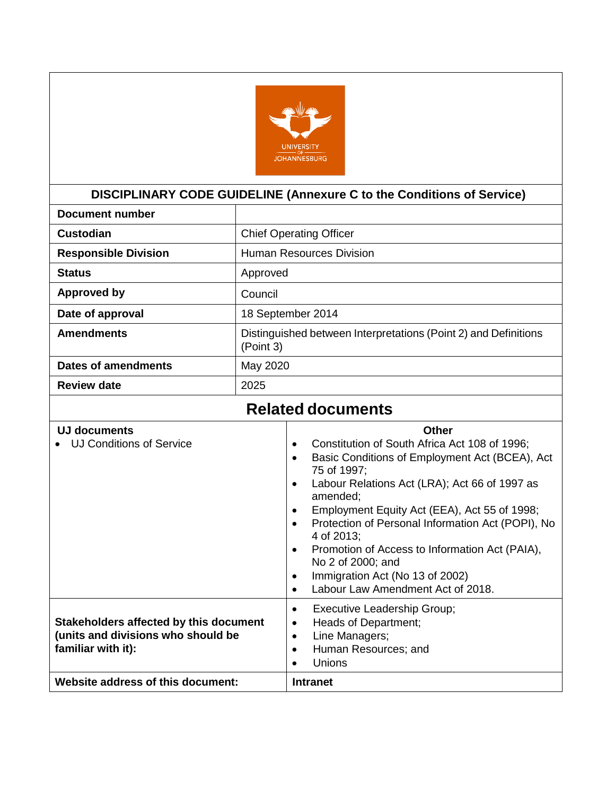

# **DISCIPLINARY CODE GUIDELINE (Annexure C to the Conditions of Service)**

<span id="page-14-0"></span>

| Document number             |                                                                              |
|-----------------------------|------------------------------------------------------------------------------|
| Custodian                   | <b>Chief Operating Officer</b>                                               |
| <b>Responsible Division</b> | <b>Human Resources Division</b>                                              |
| <b>Status</b>               | Approved                                                                     |
| <b>Approved by</b>          | Council                                                                      |
| Date of approval            | 18 September 2014                                                            |
| <b>Amendments</b>           | Distinguished between Interpretations (Point 2) and Definitions<br>(Point 3) |
| Dates of amendments         | May 2020                                                                     |
| <b>Review date</b>          | 2025                                                                         |
|                             |                                                                              |

# **Related documents**

| <b>UJ documents</b>                    | Other                                                                            |
|----------------------------------------|----------------------------------------------------------------------------------|
| UJ Conditions of Service               | Constitution of South Africa Act 108 of 1996;<br>$\bullet$                       |
|                                        | Basic Conditions of Employment Act (BCEA), Act<br>75 of 1997;                    |
|                                        | Labour Relations Act (LRA); Act 66 of 1997 as<br>amended;                        |
|                                        | Employment Equity Act (EEA), Act 55 of 1998;<br>$\bullet$                        |
|                                        | Protection of Personal Information Act (POPI), No<br>4 of 2013;                  |
|                                        | Promotion of Access to Information Act (PAIA),<br>$\bullet$<br>No 2 of 2000; and |
|                                        | Immigration Act (No 13 of 2002)<br>$\bullet$                                     |
|                                        | Labour Law Amendment Act of 2018.                                                |
|                                        | Executive Leadership Group;<br>٠                                                 |
| Stakeholders affected by this document | Heads of Department;<br>$\bullet$                                                |
| (units and divisions who should be     | Line Managers;<br>$\bullet$                                                      |
| familiar with it):                     | Human Resources; and<br>$\bullet$                                                |
|                                        | Unions                                                                           |
| Website address of this document:      | <b>Intranet</b>                                                                  |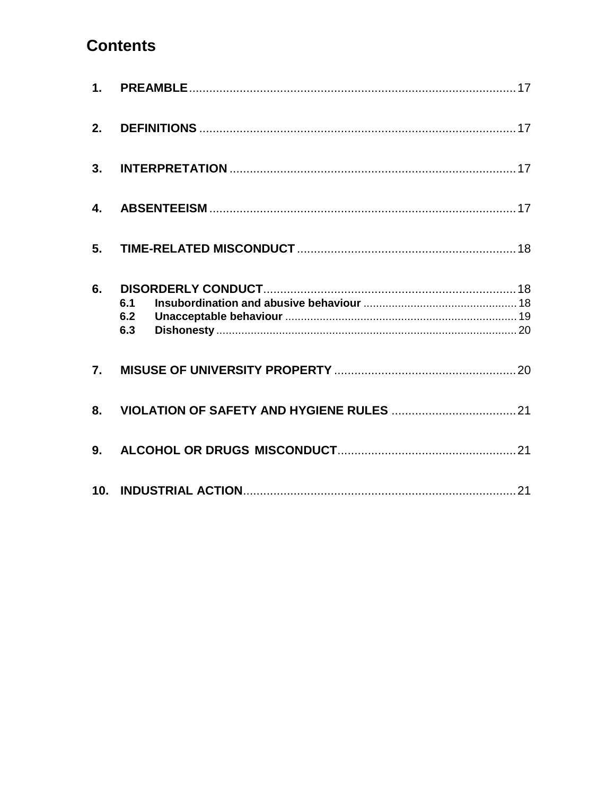# **Contents**

| 2. |                   |  |
|----|-------------------|--|
| 3. |                   |  |
| 4. |                   |  |
| 5. |                   |  |
| 6. | 6.1<br>6.2<br>6.3 |  |
| 7. |                   |  |
| 8. |                   |  |
| 9. |                   |  |
|    |                   |  |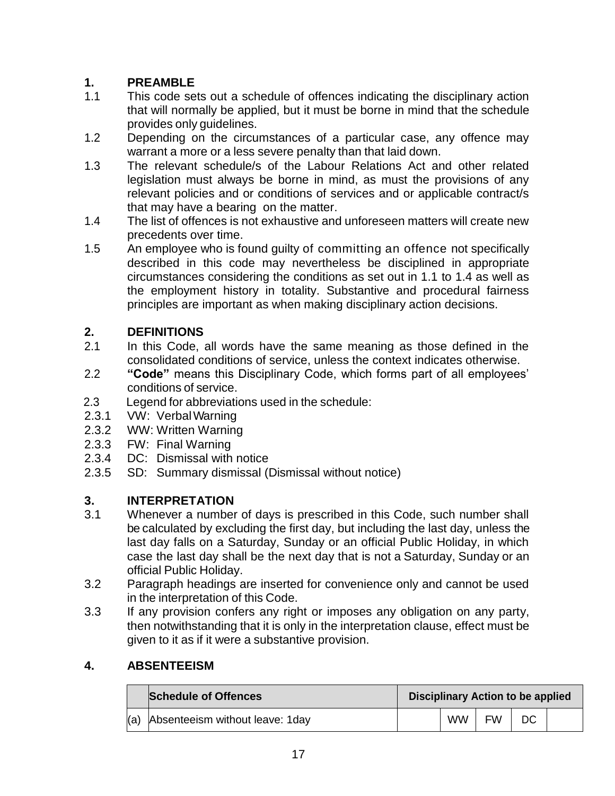# <span id="page-16-0"></span>**1. PREAMBLE**

- 1.1 This code sets out a schedule of offences indicating the disciplinary action that will normally be applied, but it must be borne in mind that the schedule provides only guidelines.
- 1.2 Depending on the circumstances of a particular case, any offence may warrant a more or a less severe penalty than that laid down.
- 1.3 The relevant schedule/s of the Labour Relations Act and other related legislation must always be borne in mind, as must the provisions of any relevant policies and or conditions of services and or applicable contract/s that may have a bearing on the matter.
- 1.4 The list of offences is not exhaustive and unforeseen matters will create new precedents over time.
- 1.5 An employee who is found guilty of committing an offence not specifically described in this code may nevertheless be disciplined in appropriate circumstances considering the conditions as set out in 1.1 to 1.4 as well as the employment history in totality. Substantive and procedural fairness principles are important as when making disciplinary action decisions.

# <span id="page-16-1"></span>**2. DEFINITIONS**

- 2.1 In this Code, all words have the same meaning as those defined in the consolidated conditions of service, unless the context indicates otherwise.
- 2.2 **"Code"** means this Disciplinary Code, which forms part of all employees' conditions of service.
- 2.3 Legend for abbreviations used in the schedule:
- 2.3.1 VW: Verbal Warning<br>2.3.2 WW: Written Warning
- WW: Written Warning
- 2.3.3 FW: Final Warning
- 2.3.4 DC: Dismissal with notice
- 2.3.5 SD: Summary dismissal (Dismissal without notice)

# <span id="page-16-2"></span>**3. INTERPRETATION**

- 3.1 Whenever a number of days is prescribed in this Code, such number shall be calculated by excluding the first day, but including the last day, unless the last day falls on a Saturday, Sunday or an official Public Holiday, in which case the last day shall be the next day that is not a Saturday, Sunday or an official Public Holiday.
- 3.2 Paragraph headings are inserted for convenience only and cannot be used in the interpretation of this Code.
- 3.3 If any provision confers any right or imposes any obligation on any party, then notwithstanding that it is only in the interpretation clause, effect must be given to it as if it were a substantive provision.

### <span id="page-16-3"></span>**4. ABSENTEEISM**

| Schedule of Offences                   | <b>Disciplinary Action to be applied</b> |           |           |    |  |
|----------------------------------------|------------------------------------------|-----------|-----------|----|--|
| $(a)$ Absenteeism without leave: 1 day |                                          | <b>WW</b> | <b>FW</b> | DC |  |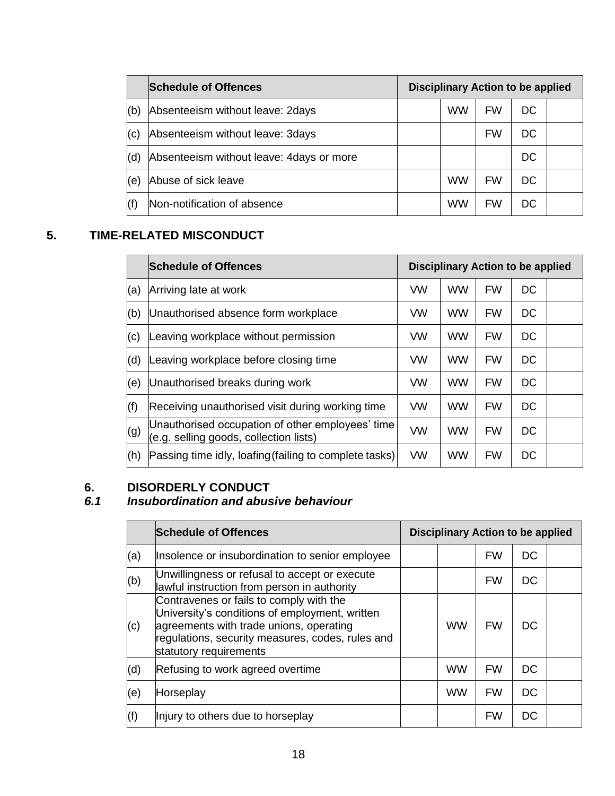|     | <b>Schedule of Offences</b>               | <b>Disciplinary Action to be applied</b> |           |           |    |  |
|-----|-------------------------------------------|------------------------------------------|-----------|-----------|----|--|
| (b) | Absenteeism without leave: 2days          |                                          | <b>WW</b> | <b>FW</b> | DC |  |
| (c) | Absenteeism without leave: 3days          |                                          |           | FW        | DC |  |
| (d) | Absenteeism without leave: 4 days or more |                                          |           |           | DC |  |
| (e) | Abuse of sick leave                       |                                          | <b>WW</b> | <b>FW</b> | DC |  |
| (f) | Non-notification of absence               |                                          | WW        | <b>FW</b> | DC |  |

# <span id="page-17-0"></span>**5. TIME-RELATED MISCONDUCT**

|     | <b>Schedule of Offences</b>                                                                | <b>Disciplinary Action to be applied</b> |           |           |           |  |
|-----|--------------------------------------------------------------------------------------------|------------------------------------------|-----------|-----------|-----------|--|
| (a) | Arriving late at work                                                                      | <b>VW</b>                                | <b>WW</b> | <b>FW</b> | DC        |  |
| (b) | Unauthorised absence form workplace                                                        | VW                                       | <b>WW</b> | <b>FW</b> | DC        |  |
| (c) | eaving workplace without permission.                                                       | <b>VW</b>                                | <b>WW</b> | <b>FW</b> | DC        |  |
| (d) | eaving workplace before closing time.                                                      | <b>VW</b>                                | <b>WW</b> | <b>FW</b> | <b>DC</b> |  |
| (e) | Unauthorised breaks during work                                                            | <b>VW</b>                                | <b>WW</b> | <b>FW</b> | DC        |  |
| (f) | Receiving unauthorised visit during working time                                           | <b>VW</b>                                | <b>WW</b> | <b>FW</b> | <b>DC</b> |  |
| (g) | Unauthorised occupation of other employees' time<br>(e.g. selling goods, collection lists) | <b>VW</b>                                | <b>WW</b> | <b>FW</b> | <b>DC</b> |  |
| (h) | Passing time idly, loafing (failing to complete tasks)                                     | <b>VW</b>                                | <b>WW</b> | <b>FW</b> | DC        |  |

# <span id="page-17-1"></span>**6.** DISORDERLY CONDUCT<br>6.1 Insubordination and abus

# <span id="page-17-2"></span>*6.1 Insubordination and abusive behaviour*

|     | <b>Schedule of Offences</b>                                                                                                                                                                                        | <b>Disciplinary Action to be applied</b> |           |           |           |  |  |
|-----|--------------------------------------------------------------------------------------------------------------------------------------------------------------------------------------------------------------------|------------------------------------------|-----------|-----------|-----------|--|--|
| (a) | Insolence or insubordination to senior employee                                                                                                                                                                    |                                          |           | <b>FW</b> | DC        |  |  |
| (b) | Unwillingness or refusal to accept or execute<br>lawful instruction from person in authority                                                                                                                       |                                          |           | <b>FW</b> | DC        |  |  |
| (c) | Contravenes or fails to comply with the<br>University's conditions of employment, written<br>agreements with trade unions, operating<br>regulations, security measures, codes, rules and<br>statutory requirements |                                          | <b>WW</b> | <b>FW</b> | DC        |  |  |
| (d) | Refusing to work agreed overtime                                                                                                                                                                                   |                                          | <b>WW</b> | <b>FW</b> | DC        |  |  |
| (e) | Horseplay                                                                                                                                                                                                          |                                          | <b>WW</b> | <b>FW</b> | <b>DC</b> |  |  |
| (f) | Injury to others due to horseplay                                                                                                                                                                                  |                                          |           | <b>FW</b> | <b>DC</b> |  |  |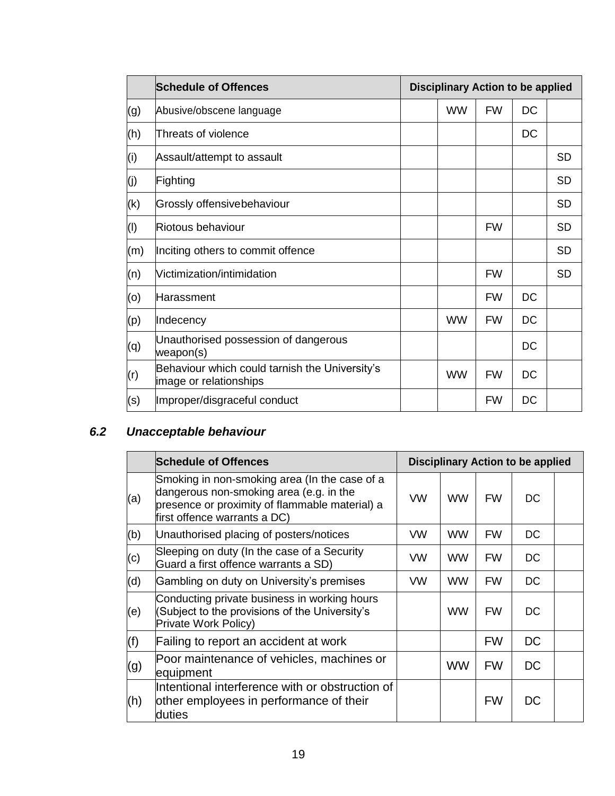|     | <b>Schedule of Offences</b>                                              | <b>Disciplinary Action to be applied</b> |           |           |           |
|-----|--------------------------------------------------------------------------|------------------------------------------|-----------|-----------|-----------|
| (g) | Abusive/obscene language                                                 | <b>WW</b>                                | <b>FW</b> | DC        |           |
| (h) | Threats of violence                                                      |                                          |           | DC        |           |
| (i) | Assault/attempt to assault                                               |                                          |           |           | <b>SD</b> |
| (j) | Fighting                                                                 |                                          |           |           | <b>SD</b> |
| (k) | Grossly offensivebehaviour                                               |                                          |           |           | <b>SD</b> |
| (1) | Riotous behaviour                                                        |                                          | <b>FW</b> |           | <b>SD</b> |
| (m) | Inciting others to commit offence                                        |                                          |           |           | <b>SD</b> |
| (n) | Victimization/intimidation                                               |                                          | <b>FW</b> |           | <b>SD</b> |
| (o) | Harassment                                                               |                                          | <b>FW</b> | <b>DC</b> |           |
| (p) | Indecency                                                                | <b>WW</b>                                | <b>FW</b> | <b>DC</b> |           |
| (q) | Unauthorised possession of dangerous<br>weapon(s)                        |                                          |           | DC        |           |
| (r) | Behaviour which could tarnish the University's<br>image or relationships | <b>WW</b>                                | <b>FW</b> | <b>DC</b> |           |
| (s) | Improper/disgraceful conduct                                             |                                          | <b>FW</b> | DC        |           |

# <span id="page-18-0"></span>*6.2 Unacceptable behaviour*

|     | <b>Schedule of Offences</b>                                                                                                                                                | <b>Disciplinary Action to be applied</b> |           |           |    |  |
|-----|----------------------------------------------------------------------------------------------------------------------------------------------------------------------------|------------------------------------------|-----------|-----------|----|--|
| (a) | Smoking in non-smoking area (In the case of a<br>dangerous non-smoking area (e.g. in the<br>presence or proximity of flammable material) a<br>first offence warrants a DC) | <b>VW</b>                                | <b>WW</b> | <b>FW</b> | DC |  |
| (b) | Unauthorised placing of posters/notices                                                                                                                                    | VW                                       | <b>WW</b> | <b>FW</b> | DC |  |
| (c) | Sleeping on duty (In the case of a Security<br>Guard a first offence warrants a SD)                                                                                        | <b>VW</b>                                | <b>WW</b> | <b>FW</b> | DC |  |
| (d) | Gambling on duty on University's premises                                                                                                                                  | <b>VW</b>                                | <b>WW</b> | <b>FW</b> | DC |  |
| (e) | Conducting private business in working hours<br>(Subject to the provisions of the University's<br>Private Work Policy)                                                     |                                          | <b>WW</b> | <b>FW</b> | DC |  |
| (f) | Failing to report an accident at work                                                                                                                                      |                                          |           | <b>FW</b> | DC |  |
| (g) | Poor maintenance of vehicles, machines or<br>equipment                                                                                                                     |                                          | <b>WW</b> | <b>FW</b> | DC |  |
| (h) | Intentional interference with or obstruction of<br>other employees in performance of their<br>duties                                                                       |                                          |           | <b>FW</b> | DC |  |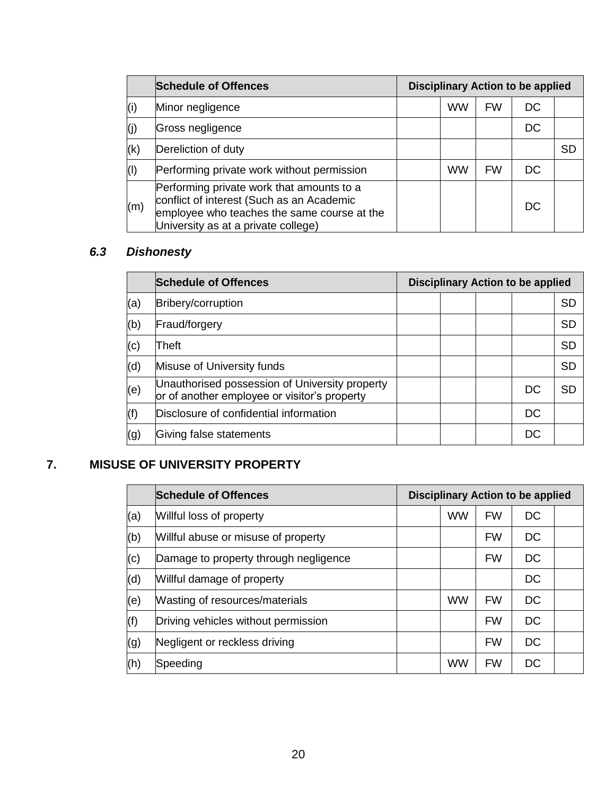|     | <b>Schedule of Offences</b>                                                                                                                                                  | <b>Disciplinary Action to be applied</b> |           |           |           |           |
|-----|------------------------------------------------------------------------------------------------------------------------------------------------------------------------------|------------------------------------------|-----------|-----------|-----------|-----------|
| (i) | Minor negligence                                                                                                                                                             |                                          | <b>WW</b> | <b>FW</b> | DC        |           |
| (j) | Gross negligence                                                                                                                                                             |                                          |           |           | <b>DC</b> |           |
| (k) | Dereliction of duty                                                                                                                                                          |                                          |           |           |           | <b>SD</b> |
| (1) | Performing private work without permission                                                                                                                                   |                                          | <b>WW</b> | <b>FW</b> | <b>DC</b> |           |
| (m) | Performing private work that amounts to a<br>conflict of interest (Such as an Academic<br>employee who teaches the same course at the<br>University as at a private college) |                                          |           |           | DC        |           |

# <span id="page-19-0"></span>*6.3 Dishonesty*

|     | <b>Schedule of Offences</b>                                                                    | <b>Disciplinary Action to be applied</b> |  |  |    |           |
|-----|------------------------------------------------------------------------------------------------|------------------------------------------|--|--|----|-----------|
| (a) | Bribery/corruption                                                                             |                                          |  |  |    | <b>SD</b> |
| (b) | Fraud/forgery                                                                                  |                                          |  |  |    | <b>SD</b> |
| (c) | Theft                                                                                          |                                          |  |  |    | <b>SD</b> |
| (d) | Misuse of University funds                                                                     |                                          |  |  |    | <b>SD</b> |
| (e) | Unauthorised possession of University property<br>or of another employee or visitor's property |                                          |  |  | DC | <b>SD</b> |
| (f) | Disclosure of confidential information                                                         |                                          |  |  | DC |           |
| (g) | Giving false statements                                                                        |                                          |  |  | DC |           |

# <span id="page-19-1"></span>**7. MISUSE OF UNIVERSITY PROPERTY**

<span id="page-19-2"></span>

|     | <b>Schedule of Offences</b>           | <b>Disciplinary Action to be applied</b> |           |           |           |  |  |
|-----|---------------------------------------|------------------------------------------|-----------|-----------|-----------|--|--|
| (a) | Willful loss of property              |                                          | <b>WW</b> | <b>FW</b> | <b>DC</b> |  |  |
| (b) | Willful abuse or misuse of property   |                                          |           | <b>FW</b> | DC        |  |  |
| (c) | Damage to property through negligence |                                          |           | <b>FW</b> | <b>DC</b> |  |  |
| (d) | Willful damage of property            |                                          |           |           | <b>DC</b> |  |  |
| (e) | Wasting of resources/materials        |                                          | <b>WW</b> | <b>FW</b> | DC        |  |  |
| (f) | Driving vehicles without permission   |                                          |           | <b>FW</b> | <b>DC</b> |  |  |
| (g) | Negligent or reckless driving         |                                          |           | <b>FW</b> | <b>DC</b> |  |  |
| (h) | Speeding                              |                                          | <b>WW</b> | <b>FW</b> | DC        |  |  |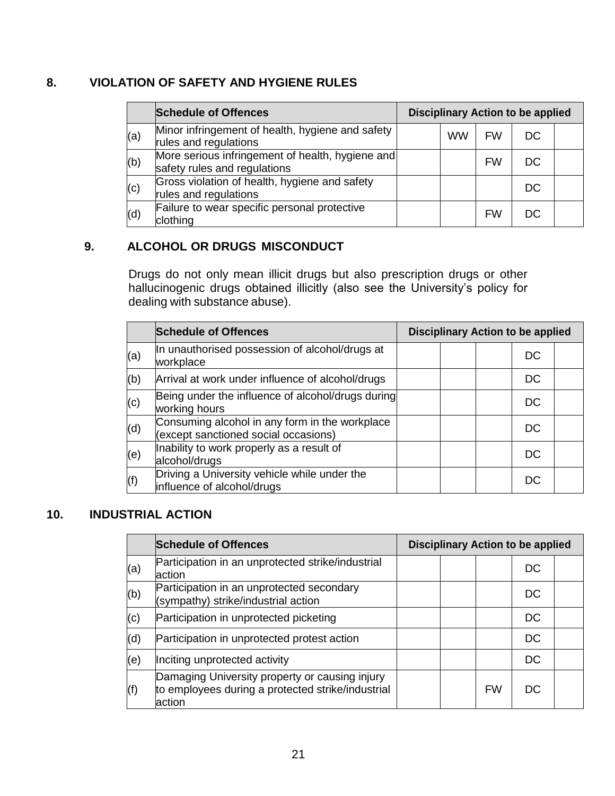### **8. VIOLATION OF SAFETY AND HYGIENE RULES**

|     | <b>Schedule of Offences</b>                                                      | <b>Disciplinary Action to be applied</b> |           |           |           |  |  |  |
|-----|----------------------------------------------------------------------------------|------------------------------------------|-----------|-----------|-----------|--|--|--|
| (a) | Minor infringement of health, hygiene and safety<br>rules and regulations        |                                          | <b>WW</b> | <b>FW</b> | <b>DC</b> |  |  |  |
| (b) | More serious infringement of health, hygiene and<br>safety rules and regulations |                                          |           | <b>FW</b> | DC        |  |  |  |
| (c) | Gross violation of health, hygiene and safety<br>rules and regulations           |                                          |           |           | DC        |  |  |  |
| (d) | Failure to wear specific personal protective<br>clothing                         |                                          |           | <b>FW</b> | DC        |  |  |  |

### <span id="page-20-0"></span>**9. ALCOHOL OR DRUGS MISCONDUCT**

Drugs do not only mean illicit drugs but also prescription drugs or other hallucinogenic drugs obtained illicitly (also see the University's policy for dealing with substance abuse).

|                   | <b>Schedule of Offences</b>                                                            | <b>Disciplinary Action to be applied</b> |  |  |           |  |
|-------------------|----------------------------------------------------------------------------------------|------------------------------------------|--|--|-----------|--|
| (a)               | In unauthorised possession of alcohol/drugs at<br>workplace                            |                                          |  |  | DC        |  |
| (b)               | Arrival at work under influence of alcohol/drugs                                       |                                          |  |  | DC        |  |
| (c)               | Being under the influence of alcohol/drugs during<br>working hours                     |                                          |  |  | <b>DC</b> |  |
| $\vert$ (d)       | Consuming alcohol in any form in the workplace<br>(except sanctioned social occasions) |                                          |  |  | DC        |  |
| (e)               | Inability to work properly as a result of<br>alcohol/drugs                             |                                          |  |  | <b>DC</b> |  |
| $\left( f\right)$ | Driving a University vehicle while under the<br>influence of alcohol/drugs             |                                          |  |  | <b>DC</b> |  |

### <span id="page-20-1"></span>**10. INDUSTRIAL ACTION**

|     | <b>Schedule of Offences</b>                                                                                   | <b>Disciplinary Action to be applied</b> |  |           |           |  |
|-----|---------------------------------------------------------------------------------------------------------------|------------------------------------------|--|-----------|-----------|--|
| (a) | Participation in an unprotected strike/industrial<br>action                                                   |                                          |  |           | DC        |  |
| (b) | Participation in an unprotected secondary<br>(sympathy) strike/industrial action                              |                                          |  |           | DC        |  |
| (c) | Participation in unprotected picketing                                                                        |                                          |  |           | <b>DC</b> |  |
| (d) | Participation in unprotected protest action                                                                   |                                          |  |           | <b>DC</b> |  |
| (e) | Inciting unprotected activity                                                                                 |                                          |  |           | <b>DC</b> |  |
| (f) | Damaging University property or causing injury<br>to employees during a protected strike/industrial<br>action |                                          |  | <b>FW</b> | DC.       |  |